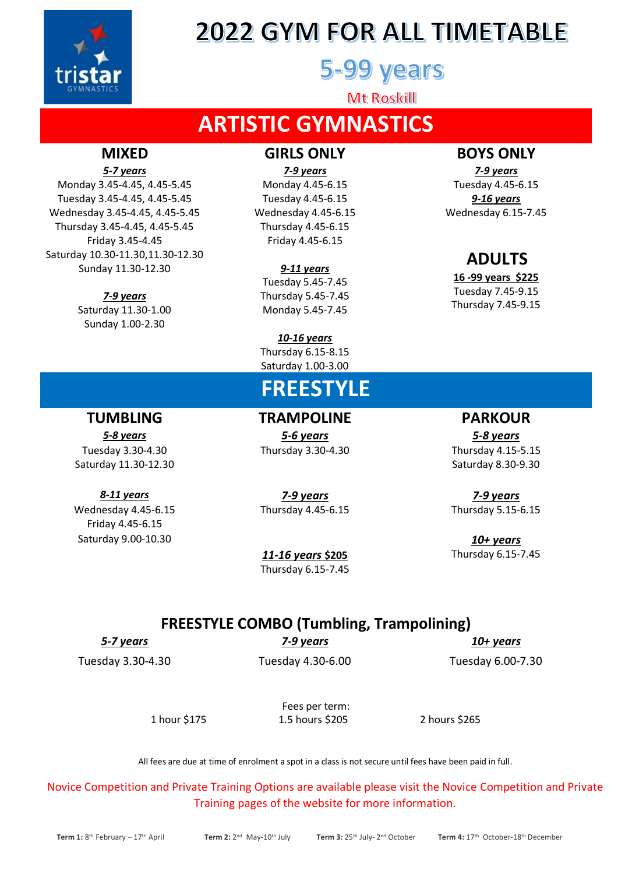

## **2022 GYM FOR ALL TIMETABLE**

### 5-99 years

Mt Roskill

### **ARTISTIC GYMNASTICS**

Monday 3.45-4.45, 4.45-5.45 Monday 4.45-6.15 Tuesday 4.45-6.15 Tuesday 3.45-4.45, 4.45-5.45 Tuesday 4.45-6.15 *9-16 years* Wednesday 3.45-4.45, 4.45-5.45 Wednesday 4.45-6.15 Wednesday 6.15-7.45 Thursday 3.45-4.45, 4.45-5.45 Thursday 4.45-6.15 Friday 3.45-4.45 Friday 4.45-6.15 Saturday 10.30-11.30,11.30-12.30 Sunday 11.30-12.30 *9-11 years*

Saturday 11.30-1.00 Monday 5.45-7.45 Sunday 1.00-2.30

### **MIXED GIRLS ONLY BOYS ONLY**

*5-7 years 7-9 years 7-9 years*

Tuesday 5.45-7.45 *7-9 years* Thursday 5.45-7.45

> *10-16 years* Thursday 6.15-8.15 Saturday 1.00-3.00

### **FREESTYLE**

**TUMBLING TRAMPOLINE PARKOUR** *5-8 years 5-6 years 5-8 years*

Tuesday 3.30-4.30 Thursday 3.30-4.30 Thursday 4.15-5.15

Saturday 11.30-12.30 Saturday 8.30-9.30

*8-11 years 7-9 years 7-9 years* Wednesday 4.45-6.15 Thursday 4.45-6.15 Thursday 5.15-6.15

Saturday 9.00-10.30 *10+ years 11-16 years* **\$205** Thursday 6.15-7.45

## Thursday 6.15-7.45

### **FREESTYLE COMBO (Tumbling, Trampolining)**

Friday 4.45-6.15

*5-7 years 7-9 years 10+ years*

Tuesday 3.30-4.30 Tuesday 4.30-6.00 Tuesday 6.00-7.30

Fees per term: 1 hour \$175 1.5 hours \$205 2 hours \$265

All fees are due at time of enrolment a spot in a class is not secure until fees have been paid in full.

Novice Competition and Private Training Options are available please visit the Novice Competition and Private Training pages of the website for more information.

### **ADULTS**

**16 -99 years \$225** Tuesday 7.45-9.15 Thursday 7.45-9.15